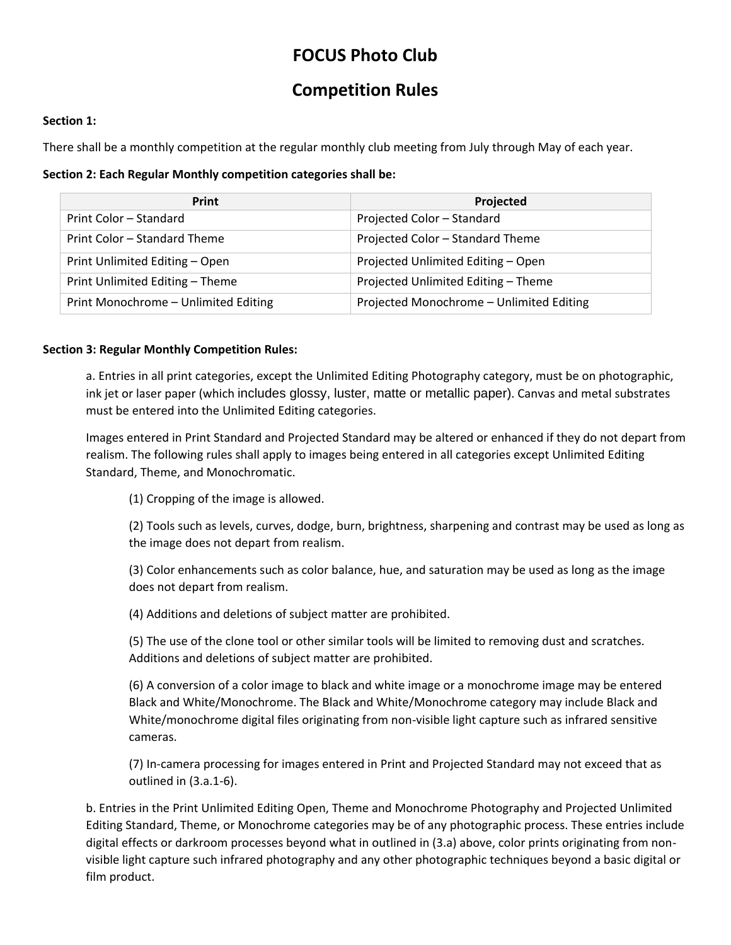# **FOCUS Photo Club**

## **Competition Rules**

### **Section 1:**

There shall be a monthly competition at the regular monthly club meeting from July through May of each year.

**Section 2: Each Regular Monthly competition categories shall be:**

| Print                                | Projected                                |
|--------------------------------------|------------------------------------------|
| Print Color - Standard               | Projected Color - Standard               |
| Print Color – Standard Theme         | Projected Color - Standard Theme         |
| Print Unlimited Editing - Open       | Projected Unlimited Editing - Open       |
| Print Unlimited Editing - Theme      | Projected Unlimited Editing - Theme      |
| Print Monochrome - Unlimited Editing | Projected Monochrome - Unlimited Editing |

### **Section 3: Regular Monthly Competition Rules:**

a. Entries in all print categories, except the Unlimited Editing Photography category, must be on photographic, ink jet or laser paper (which includes glossy, luster, matte or metallic paper). Canvas and metal substrates must be entered into the Unlimited Editing categories.

Images entered in Print Standard and Projected Standard may be altered or enhanced if they do not depart from realism. The following rules shall apply to images being entered in all categories except Unlimited Editing Standard, Theme, and Monochromatic.

(1) Cropping of the image is allowed.

(2) Tools such as levels, curves, dodge, burn, brightness, sharpening and contrast may be used as long as the image does not depart from realism.

(3) Color enhancements such as color balance, hue, and saturation may be used as long as the image does not depart from realism.

(4) Additions and deletions of subject matter are prohibited.

(5) The use of the clone tool or other similar tools will be limited to removing dust and scratches. Additions and deletions of subject matter are prohibited.

(6) A conversion of a color image to black and white image or a monochrome image may be entered Black and White/Monochrome. The Black and White/Monochrome category may include Black and White/monochrome digital files originating from non-visible light capture such as infrared sensitive cameras.

(7) In-camera processing for images entered in Print and Projected Standard may not exceed that as outlined in (3.a.1-6).

b. Entries in the Print Unlimited Editing Open, Theme and Monochrome Photography and Projected Unlimited Editing Standard, Theme, or Monochrome categories may be of any photographic process. These entries include digital effects or darkroom processes beyond what in outlined in (3.a) above, color prints originating from nonvisible light capture such infrared photography and any other photographic techniques beyond a basic digital or film product.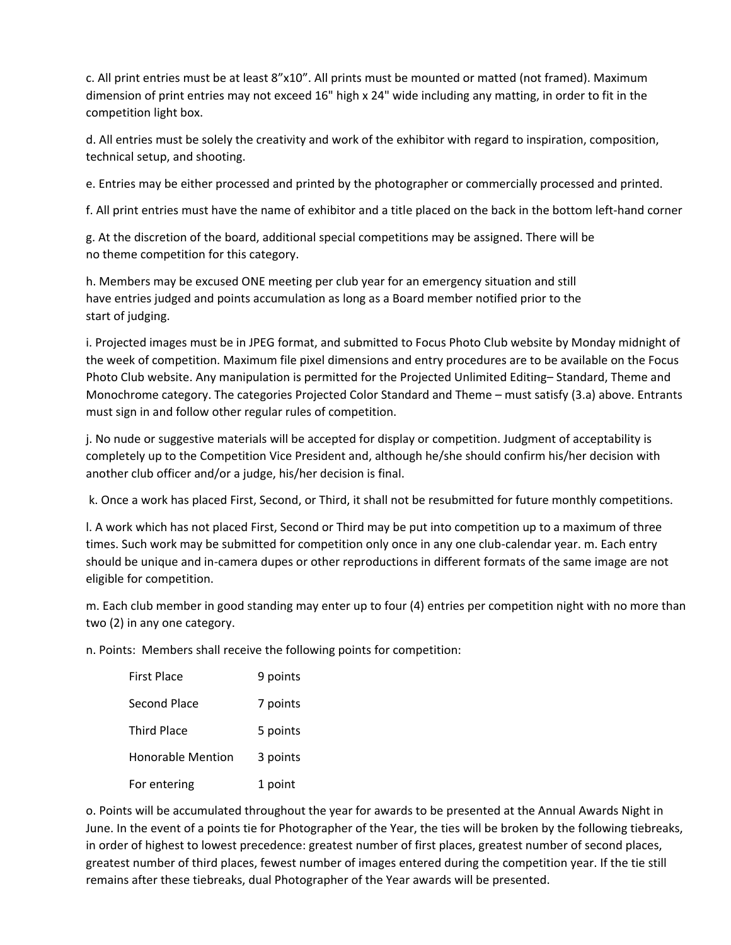c. All print entries must be at least 8"x10". All prints must be mounted or matted (not framed). Maximum dimension of print entries may not exceed 16" high x 24" wide including any matting, in order to fit in the competition light box.

d. All entries must be solely the creativity and work of the exhibitor with regard to inspiration, composition, technical setup, and shooting.

e. Entries may be either processed and printed by the photographer or commercially processed and printed.

f. All print entries must have the name of exhibitor and a title placed on the back in the bottom left-hand corner

g. At the discretion of the board, additional special competitions may be assigned. There will be no theme competition for this category.

h. Members may be excused ONE meeting per club year for an emergency situation and still have entries judged and points accumulation as long as a Board member notified prior to the start of judging.

i. Projected images must be in JPEG format, and submitted to Focus Photo Club website by Monday midnight of the week of competition. Maximum file pixel dimensions and entry procedures are to be available on the Focus Photo Club website. Any manipulation is permitted for the Projected Unlimited Editing– Standard, Theme and Monochrome category. The categories Projected Color Standard and Theme – must satisfy (3.a) above. Entrants must sign in and follow other regular rules of competition.

j. No nude or suggestive materials will be accepted for display or competition. Judgment of acceptability is completely up to the Competition Vice President and, although he/she should confirm his/her decision with another club officer and/or a judge, his/her decision is final.

k. Once a work has placed First, Second, or Third, it shall not be resubmitted for future monthly competitions.

l. A work which has not placed First, Second or Third may be put into competition up to a maximum of three times. Such work may be submitted for competition only once in any one club-calendar year. m. Each entry should be unique and in-camera dupes or other reproductions in different formats of the same image are not eligible for competition.

m. Each club member in good standing may enter up to four (4) entries per competition night with no more than two (2) in any one category.

n. Points: Members shall receive the following points for competition:

| <b>First Place</b>       | 9 points |
|--------------------------|----------|
| Second Place             | 7 points |
| <b>Third Place</b>       | 5 points |
| <b>Honorable Mention</b> | 3 points |
| For entering             | 1 point  |

o. Points will be accumulated throughout the year for awards to be presented at the Annual Awards Night in June. In the event of a points tie for Photographer of the Year, the ties will be broken by the following tiebreaks, in order of highest to lowest precedence: greatest number of first places, greatest number of second places, greatest number of third places, fewest number of images entered during the competition year. If the tie still remains after these tiebreaks, dual Photographer of the Year awards will be presented.